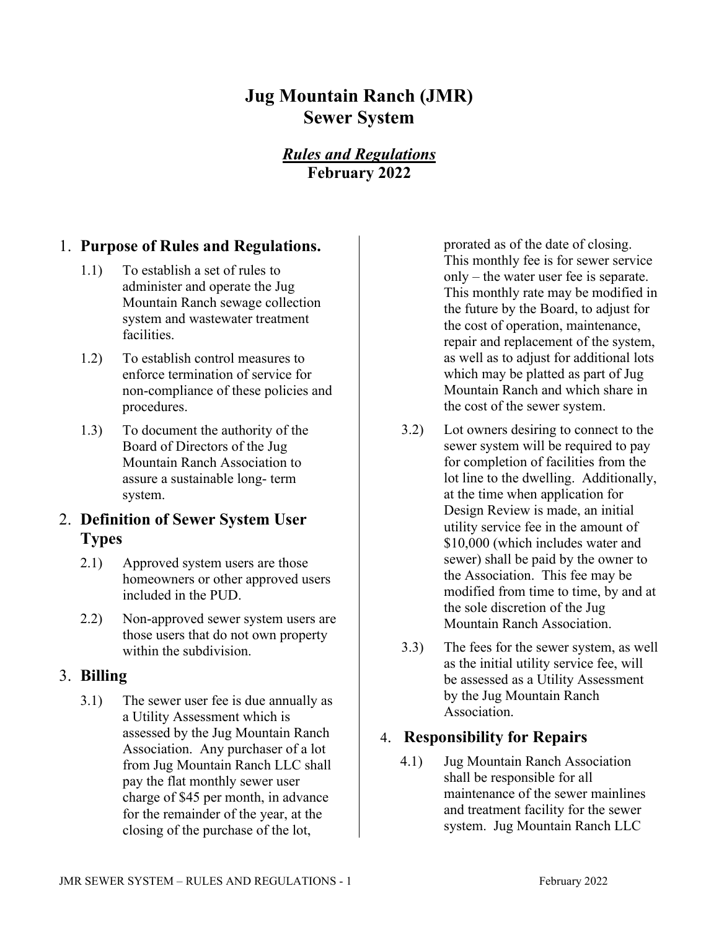# **Jug Mountain Ranch (JMR) Sewer System**

# *Rules and Regulations* **February 2022**

### 1. **Purpose of Rules and Regulations.**

- 1.1) To establish a set of rules to administer and operate the Jug Mountain Ranch sewage collection system and wastewater treatment facilities.
- 1.2) To establish control measures to enforce termination of service for non-compliance of these policies and procedures.
- 1.3) To document the authority of the Board of Directors of the Jug Mountain Ranch Association to assure a sustainable long- term system.

## 2. **Definition of Sewer System User Types**

- 2.1) Approved system users are those homeowners or other approved users included in the PUD.
- 2.2) Non-approved sewer system users are those users that do not own property within the subdivision.

#### 3. **Billing**

3.1) The sewer user fee is due annually as a Utility Assessment which is assessed by the Jug Mountain Ranch Association. Any purchaser of a lot from Jug Mountain Ranch LLC shall pay the flat monthly sewer user charge of \$45 per month, in advance for the remainder of the year, at the closing of the purchase of the lot,

prorated as of the date of closing. This monthly fee is for sewer service only – the water user fee is separate. This monthly rate may be modified in the future by the Board, to adjust for the cost of operation, maintenance, repair and replacement of the system, as well as to adjust for additional lots which may be platted as part of Jug Mountain Ranch and which share in the cost of the sewer system.

- 3.2) Lot owners desiring to connect to the sewer system will be required to pay for completion of facilities from the lot line to the dwelling. Additionally, at the time when application for Design Review is made, an initial utility service fee in the amount of \$10,000 (which includes water and sewer) shall be paid by the owner to the Association. This fee may be modified from time to time, by and at the sole discretion of the Jug Mountain Ranch Association.
- 3.3) The fees for the sewer system, as well as the initial utility service fee, will be assessed as a Utility Assessment by the Jug Mountain Ranch Association.

#### 4. **Responsibility for Repairs**

4.1) Jug Mountain Ranch Association shall be responsible for all maintenance of the sewer mainlines and treatment facility for the sewer system. Jug Mountain Ranch LLC